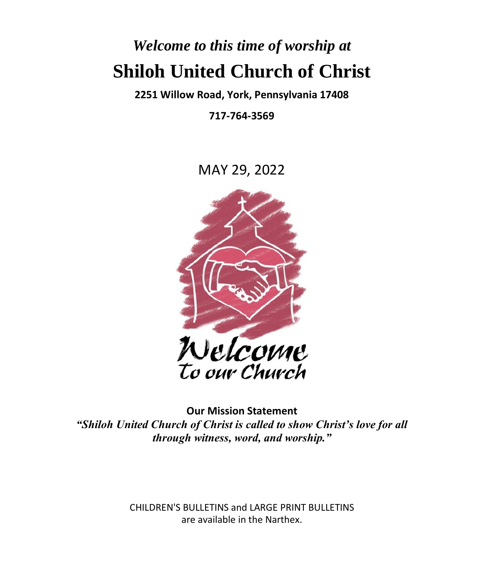# *Welcome to this time of worship at* **Shiloh United Church of Christ**

**2251 Willow Road, York, Pennsylvania 17408**

**717-764-3569**

MAY 29, 2022



**Our Mission Statement** *"Shiloh United Church of Christ is called to show Christ's love for all through witness, word, and worship."*

> CHILDREN'S BULLETINS and LARGE PRINT BULLETINS are available in the Narthex.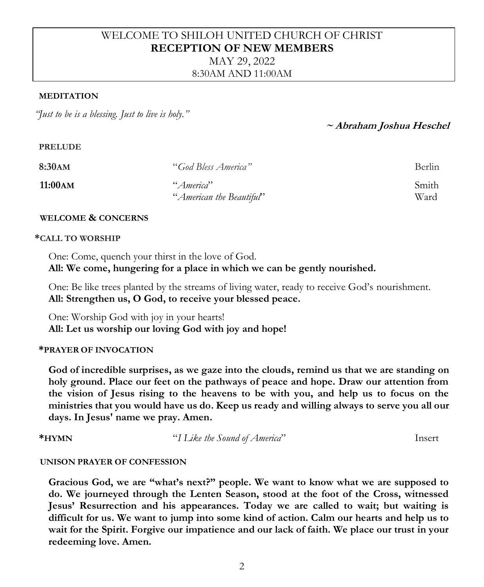# WELCOME TO SHILOH UNITED CHURCH OF CHRIST **RECEPTION OF NEW MEMBERS**

MAY 29, 2022 8:30AM AND 11:00AM

#### **MEDITATION**

*"Just to be is a blessing. Just to live is holy."*

## **~ Abraham Joshua Heschel**

#### **PRELUDE**

| 8:30AM   | "God Bless America"      | Berlin |
|----------|--------------------------|--------|
| 11:00 AM | "America"                | Smith  |
|          | "American the Beautiful" | Ward   |

#### **WELCOME & CONCERNS**

#### **\*CALL TO WORSHIP**

One: Come, quench your thirst in the love of God. **All: We come, hungering for a place in which we can be gently nourished.**

One: Be like trees planted by the streams of living water, ready to receive God's nourishment. **All: Strengthen us, O God, to receive your blessed peace.**

One: Worship God with joy in your hearts! **All: Let us worship our loving God with joy and hope!**

#### **\*PRAYER OF INVOCATION**

**God of incredible surprises, as we gaze into the clouds, remind us that we are standing on holy ground. Place our feet on the pathways of peace and hope. Draw our attention from the vision of Jesus rising to the heavens to be with you, and help us to focus on the ministries that you would have us do. Keep us ready and willing always to serve you all our days. In Jesus' name we pray. Amen.**

**\*HYMN** "*I Like the Sound of America*" Insert

#### **UNISON PRAYER OF CONFESSION**

**Gracious God, we are "what's next?" people. We want to know what we are supposed to do. We journeyed through the Lenten Season, stood at the foot of the Cross, witnessed Jesus' Resurrection and his appearances. Today we are called to wait; but waiting is difficult for us. We want to jump into some kind of action. Calm our hearts and help us to wait for the Spirit. Forgive our impatience and our lack of faith. We place our trust in your redeeming love. Amen.**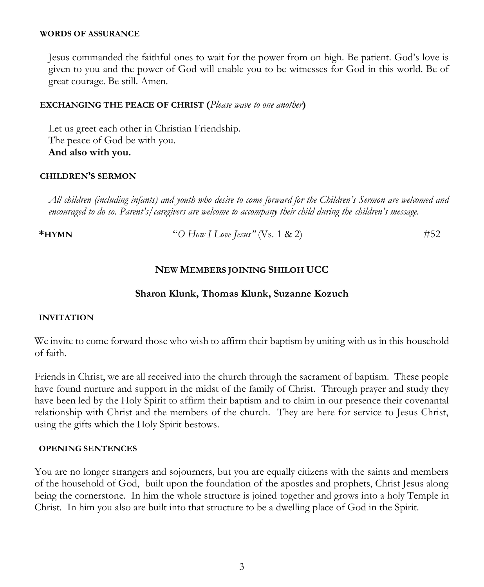#### **WORDS OF ASSURANCE**

Jesus commanded the faithful ones to wait for the power from on high. Be patient. God's love is given to you and the power of God will enable you to be witnesses for God in this world. Be of great courage. Be still. Amen.

#### **EXCHANGING THE PEACE OF CHRIST (***Please wave to one another***)**

Let us greet each other in Christian Friendship. The peace of God be with you. **And also with you.**

#### **CHILDREN'S SERMON**

*All children (including infants) and youth who desire to come forward for the Children's Sermon are welcomed and encouraged to do so. Parent's/caregivers are welcome to accompany their child during the children's message.*

**\*HYMN** "*O How I Love Jesus"* (Vs. 1 & 2) #52

### **NEW MEMBERS JOINING SHILOH UCC**

#### **Sharon Klunk, Thomas Klunk, Suzanne Kozuch**

#### **INVITATION**

We invite to come forward those who wish to affirm their baptism by uniting with us in this household of faith.

Friends in Christ, we are all received into the church through the sacrament of baptism. These people have found nurture and support in the midst of the family of Christ. Through prayer and study they have been led by the Holy Spirit to affirm their baptism and to claim in our presence their covenantal relationship with Christ and the members of the church. They are here for service to Jesus Christ, using the gifts which the Holy Spirit bestows.

#### **OPENING SENTENCES**

You are no longer strangers and sojourners, but you are equally citizens with the saints and members of the household of God, built upon the foundation of the apostles and prophets, Christ Jesus along being the cornerstone. In him the whole structure is joined together and grows into a holy Temple in Christ. In him you also are built into that structure to be a dwelling place of God in the Spirit.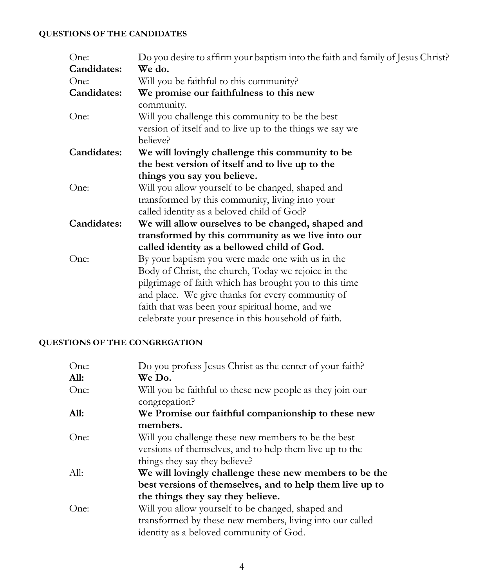## **QUESTIONS OF THE CANDIDATES**

| One:        | Do you desire to affirm your baptism into the faith and family of Jesus Christ? |
|-------------|---------------------------------------------------------------------------------|
| Candidates: | We do.                                                                          |
| One:        | Will you be faithful to this community?                                         |
| Candidates: | We promise our faithfulness to this new                                         |
|             | community.                                                                      |
| One:        | Will you challenge this community to be the best                                |
|             | version of itself and to live up to the things we say we                        |
|             | believe?                                                                        |
| Candidates: | We will lovingly challenge this community to be                                 |
|             | the best version of itself and to live up to the                                |
|             | things you say you believe.                                                     |
| One:        | Will you allow yourself to be changed, shaped and                               |
|             | transformed by this community, living into your                                 |
|             | called identity as a beloved child of God?                                      |
| Candidates: | We will allow ourselves to be changed, shaped and                               |
|             | transformed by this community as we live into our                               |
|             | called identity as a bellowed child of God.                                     |
| One:        | By your baptism you were made one with us in the                                |
|             | Body of Christ, the church, Today we rejoice in the                             |
|             | pilgrimage of faith which has brought you to this time                          |
|             | and place. We give thanks for every community of                                |
|             | faith that was been your spiritual home, and we                                 |
|             | celebrate your presence in this household of faith.                             |
|             |                                                                                 |

## **QUESTIONS OF THE CONGREGATION**

| One: | Do you profess Jesus Christ as the center of your faith?  |
|------|-----------------------------------------------------------|
| All: | We Do.                                                    |
| One: | Will you be faithful to these new people as they join our |
|      | congregation?                                             |
| All: | We Promise our faithful companionship to these new        |
|      | members.                                                  |
| One: | Will you challenge these new members to be the best       |
|      | versions of themselves, and to help them live up to the   |
|      | things they say they believe?                             |
| All: | We will lovingly challenge these new members to be the    |
|      | best versions of themselves, and to help them live up to  |
|      | the things they say they believe.                         |
| One: | Will you allow yourself to be changed, shaped and         |
|      | transformed by these new members, living into our called  |
|      | identity as a beloved community of God.                   |
|      |                                                           |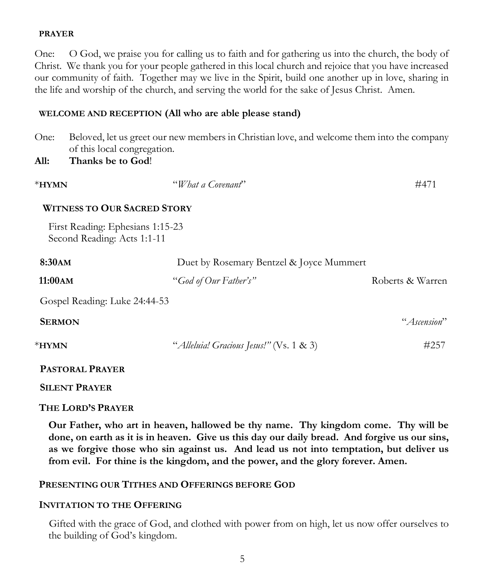#### **PRAYER**

One: O God, we praise you for calling us to faith and for gathering us into the church, the body of Christ. We thank you for your people gathered in this local church and rejoice that you have increased our community of faith. Together may we live in the Spirit, build one another up in love, sharing in the life and worship of the church, and serving the world for the sake of Jesus Christ. Amen.

#### **WELCOME AND RECEPTION (All who are able please stand)**

One: Beloved, let us greet our new members in Christian love, and welcome them into the company of this local congregation.

#### **All: Thanks be to God**!

| $*$ HYMN                                                        | "What a Covenant"                        | #471             |
|-----------------------------------------------------------------|------------------------------------------|------------------|
| <b>WITNESS TO OUR SACRED STORY</b>                              |                                          |                  |
| First Reading: Ephesians 1:15-23<br>Second Reading: Acts 1:1-11 |                                          |                  |
| 8:30AM                                                          | Duet by Rosemary Bentzel & Joyce Mummert |                  |
| 11:00AM                                                         | "God of Our Father's"                    | Roberts & Warren |
| Gospel Reading: Luke 24:44-53                                   |                                          |                  |
| <b>SERMON</b>                                                   |                                          | "Ascension"      |
| $*$ HYMN                                                        | "Alleluia! Gracious Jesus!" (Vs. 1 & 3)  | #257             |
| <b>PASTORAL PRAYER</b>                                          |                                          |                  |

#### **SILENT PRAYER**

### **THE LORD'S PRAYER**

**Our Father, who art in heaven, hallowed be thy name. Thy kingdom come. Thy will be done, on earth as it is in heaven. Give us this day our daily bread. And forgive us our sins, as we forgive those who sin against us. And lead us not into temptation, but deliver us from evil. For thine is the kingdom, and the power, and the glory forever. Amen.**

### **PRESENTING OUR TITHES AND OFFERINGS BEFORE GOD**

### **INVITATION TO THE OFFERING**

Gifted with the grace of God, and clothed with power from on high, let us now offer ourselves to the building of God's kingdom.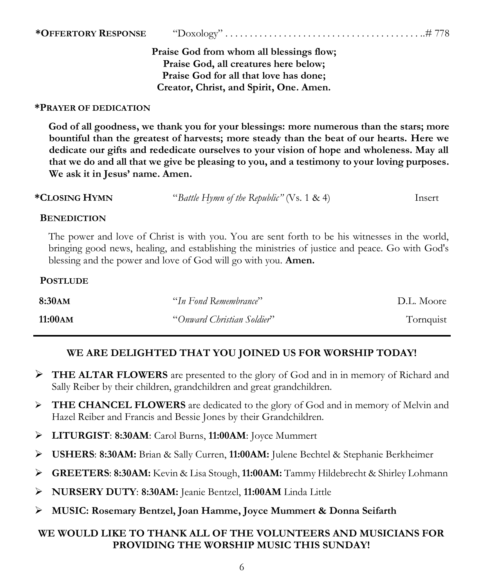### **\*OFFERTORY RESPONSE** "Doxology" . . . . . . . . . . . . . . . . . . . . . . . . . . . . . . . . . . . . . . . . ..# 778

**Praise God from whom all blessings flow; Praise God, all creatures here below; Praise God for all that love has done; Creator, Christ, and Spirit, One. Amen.**

#### **\*PRAYER OF DEDICATION**

**God of all goodness, we thank you for your blessings: more numerous than the stars; more bountiful than the greatest of harvests; more steady than the beat of our hearts. Here we dedicate our gifts and rededicate ourselves to your vision of hope and wholeness. May all that we do and all that we give be pleasing to you, and a testimony to your loving purposes. We ask it in Jesus' name. Amen.**

| *Closing Hymn | "Battle Hymn of the Republic" (Vs. 1 & 4) | Insert |
|---------------|-------------------------------------------|--------|
|---------------|-------------------------------------------|--------|

#### **BENEDICTION**

The power and love of Christ is with you. You are sent forth to be his witnesses in the world, bringing good news, healing, and establishing the ministries of justice and peace. Go with God's blessing and the power and love of God will go with you. **Amen.**

#### **POSTLUDE**

| 8:30am   | "In Fond Remembrance"      | D.L. Moore |
|----------|----------------------------|------------|
| 11:00 AM | "Onward Christian Soldier" | Tornquist  |

## **WE ARE DELIGHTED THAT YOU JOINED US FOR WORSHIP TODAY!**

- ➢ **THE ALTAR FLOWERS** are presented to the glory of God and in in memory of Richard and Sally Reiber by their children, grandchildren and great grandchildren.
- ➢ **THE CHANCEL FLOWERS** are dedicated to the glory of God and in memory of Melvin and Hazel Reiber and Francis and Bessie Jones by their Grandchildren.
- ➢ **LITURGIST**: **8:30AM**: Carol Burns, **11:00AM**: Joyce Mummert
- ➢ **USHERS**: **8:30AM:** Brian & Sally Curren, **11:00AM:** Julene Bechtel & Stephanie Berkheimer
- ➢ **GREETERS**: **8:30AM:** Kevin & Lisa Stough, **11:00AM:** Tammy Hildebrecht & Shirley Lohmann
- ➢ **NURSERY DUTY**: **8:30AM:** Jeanie Bentzel, **11:00AM** Linda Little
- ➢ **MUSIC: Rosemary Bentzel, Joan Hamme, Joyce Mummert & Donna Seifarth**

## **WE WOULD LIKE TO THANK ALL OF THE VOLUNTEERS AND MUSICIANS FOR PROVIDING THE WORSHIP MUSIC THIS SUNDAY!**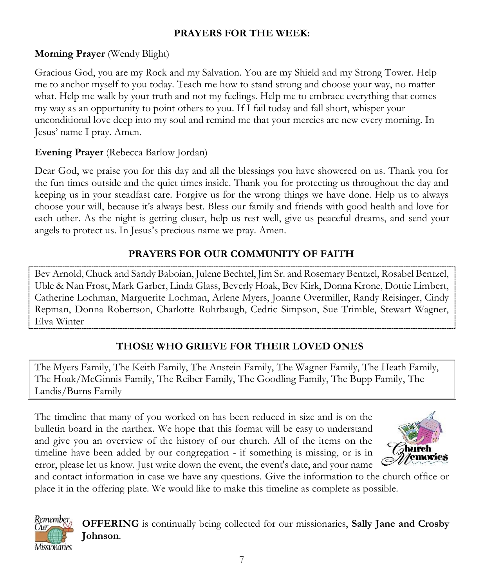# **PRAYERS FOR THE WEEK:**

# **Morning Prayer** (Wendy Blight)

Gracious God, you are my Rock and my Salvation. You are my Shield and my Strong Tower. Help me to anchor myself to you today. Teach me how to stand strong and choose your way, no matter what. Help me walk by your truth and not my feelings. Help me to embrace everything that comes my way as an opportunity to point others to you. If I fail today and fall short, whisper your unconditional love deep into my soul and remind me that your mercies are new every morning. In Jesus' name I pray. Amen.

# **Evening Prayer** (Rebecca Barlow Jordan)

Remember Our.

**Missionaries** 

Dear God, we praise you for this day and all the blessings you have showered on us. Thank you for the fun times outside and the quiet times inside. Thank you for protecting us throughout the day and keeping us in your steadfast care. Forgive us for the wrong things we have done. Help us to always choose your will, because it's always best. Bless our family and friends with good health and love for each other. As the night is getting closer, help us rest well, give us peaceful dreams, and send your angels to protect us. In Jesus's precious name we pray. Amen.

# **PRAYERS FOR OUR COMMUNITY OF FAITH**

Bev Arnold, Chuck and Sandy Baboian, Julene Bechtel, Jim Sr. and Rosemary Bentzel, Rosabel Bentzel, Uble & Nan Frost, Mark Garber, Linda Glass, Beverly Hoak, Bev Kirk, Donna Krone, Dottie Limbert, Catherine Lochman, Marguerite Lochman, Arlene Myers, Joanne Overmiller, Randy Reisinger, Cindy Repman, Donna Robertson, Charlotte Rohrbaugh, Cedric Simpson, Sue Trimble, Stewart Wagner, Elva Winter

# **THOSE WHO GRIEVE FOR THEIR LOVED ONES**

The Myers Family, The Keith Family, The Anstein Family, The Wagner Family, The Heath Family, The Hoak/McGinnis Family, The Reiber Family, The Goodling Family, The Bupp Family, The Landis/Burns Family

The timeline that many of you worked on has been reduced in size and is on the bulletin board in the narthex. We hope that this format will be easy to understand and give you an overview of the history of our church. All of the items on the timeline have been added by our congregation - if something is missing, or is in error, please let us know. Just write down the event, the event's date, and your name



and contact information in case we have any questions. Give the information to the church office or place it in the offering plate. We would like to make this timeline as complete as possible.

> **OFFERING** is continually being collected for our missionaries, **Sally Jane and Crosby Johnson**.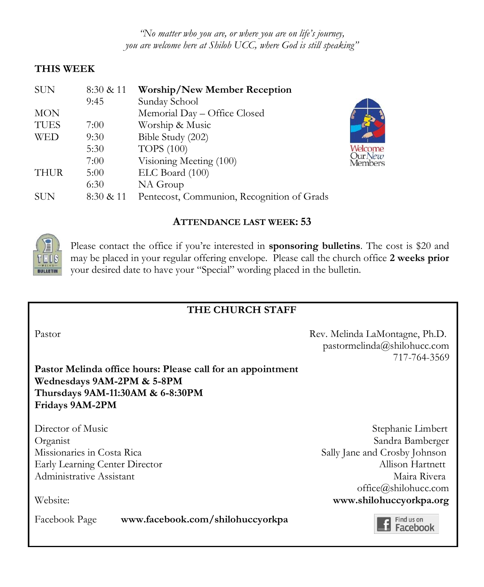*"No matter who you are, or where you are on life's journey, you are welcome here at Shiloh UCC, where God is still speaking"*

## **THIS WEEK**

| <b>SUN</b>  | 8:30 & 11 | <b>Worship/New Member Reception</b>        |
|-------------|-----------|--------------------------------------------|
|             | 9:45      | Sunday School                              |
| <b>MON</b>  |           | Memorial Day - Office Closed               |
| <b>TUES</b> | 7:00      | Worship & Music                            |
| <b>WED</b>  | 9:30      | Bible Study (202)                          |
|             | 5:30      | <b>TOPS</b> (100)                          |
|             | 7:00      | Visioning Meeting (100)                    |
| <b>THUR</b> | 5:00      | ELC Board (100)                            |
|             | 6:30      | NA Group                                   |
| <b>SUN</b>  | 8:30 & 11 | Pentecost, Communion, Recognition of Grads |

## **ATTENDANCE LAST WEEK: 53**



Please contact the office if you're interested in **sponsoring bulletins**. The cost is \$20 and may be placed in your regular offering envelope. Please call the church office **2 weeks prior** your desired date to have your "Special" wording placed in the bulletin.

## **THE CHURCH STAFF**

Pastor Rev. Melinda LaMontagne, Ph.D. pastormelinda@shilohucc.com 717-764-3569

**Pastor Melinda office hours: Please call for an appointment Wednesdays 9AM-2PM & 5-8PM Thursdays 9AM-11:30AM & 6-8:30PM Fridays 9AM-2PM**

Director of Music Stephanie Limbert Organist Sandra Bamberger Missionaries in Costa Rica Sally Jane and Crosby Johnson Early Learning Center Director **Allison Hartnett** Administrative Assistant Maira Rivera and Administrative Assistant Maira Rivera office@shilohucc.com Website: **www.shilohuccyorkpa.org**

Facebook Page **www.facebook.com/shilohuccyorkpa**

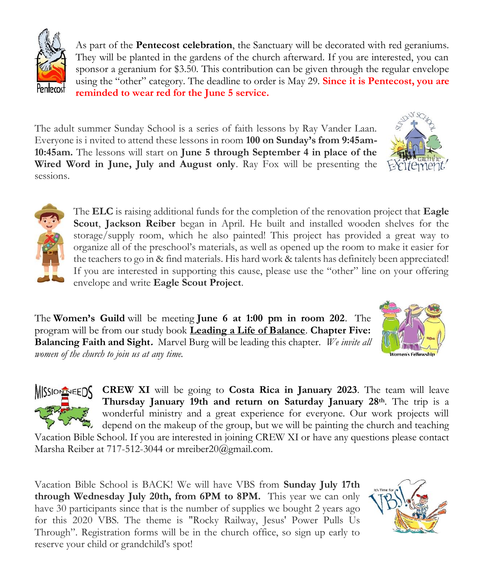As part of the **Pentecost celebration**, the Sanctuary will be decorated with red geraniums. They will be planted in the gardens of the church afterward. If you are interested, you can sponsor a geranium for \$3.50. This contribution can be given through the regular envelope using the "other" category. The deadline to order is May 29. **Since it is Pentecost, you are reminded to wear red for the June 5 service.**

The adult summer Sunday School is a series of faith lessons by Ray Vander Laan. Everyone is i nvited to attend these lessons in room **100 on Sunday's from 9:45am-10:45am.** The lessons will start on **June 5 through September 4 in place of the Wired Word in June, July and August only**. Ray Fox will be presenting the sessions.

> The **ELC** is raising additional funds for the completion of the renovation project that **Eagle Scout**, **Jackson Reiber** began in April. He built and installed wooden shelves for the storage/supply room, which he also painted! This project has provided a great way to organize all of the preschool's materials, as well as opened up the room to make it easier for the teachers to go in & find materials. His hard work & talents has definitely been appreciated! If you are interested in supporting this cause, please use the "other" line on your offering envelope and write **Eagle Scout Project**.

The **Women's Guild** will be meeting **June 6 at 1:00 pm in room 202**. The program will be from our study book **Leading a Life of Balance**. **Chapter Five: Balancing Faith and Sight.** Marvel Burg will be leading this chapter*. We invite all women of the church to join us at any time.*

> **CREW XI** will be going to **Costa Rica in January 2023**. The team will leave **Thursday January 19th and return on Saturday January 28th**. The trip is a wonderful ministry and a great experience for everyone. Our work projects will depend on the makeup of the group, but we will be painting the church and teaching

Vacation Bible School. If you are interested in joining CREW XI or have any questions please contact Marsha Reiber at 717-512-3044 or mreiber20@gmail.com.

Vacation Bible School is BACK! We will have VBS from **Sunday July 17th through Wednesday July 20th, from 6PM to 8PM.** This year we can only have 30 participants since that is the number of supplies we bought 2 years ago for this 2020 VBS. The theme is "Rocky Railway, Jesus' Power Pulls Us Through". Registration forms will be in the church office, so sign up early to reserve your child or grandchild's spot!









**MISSION REEDS**